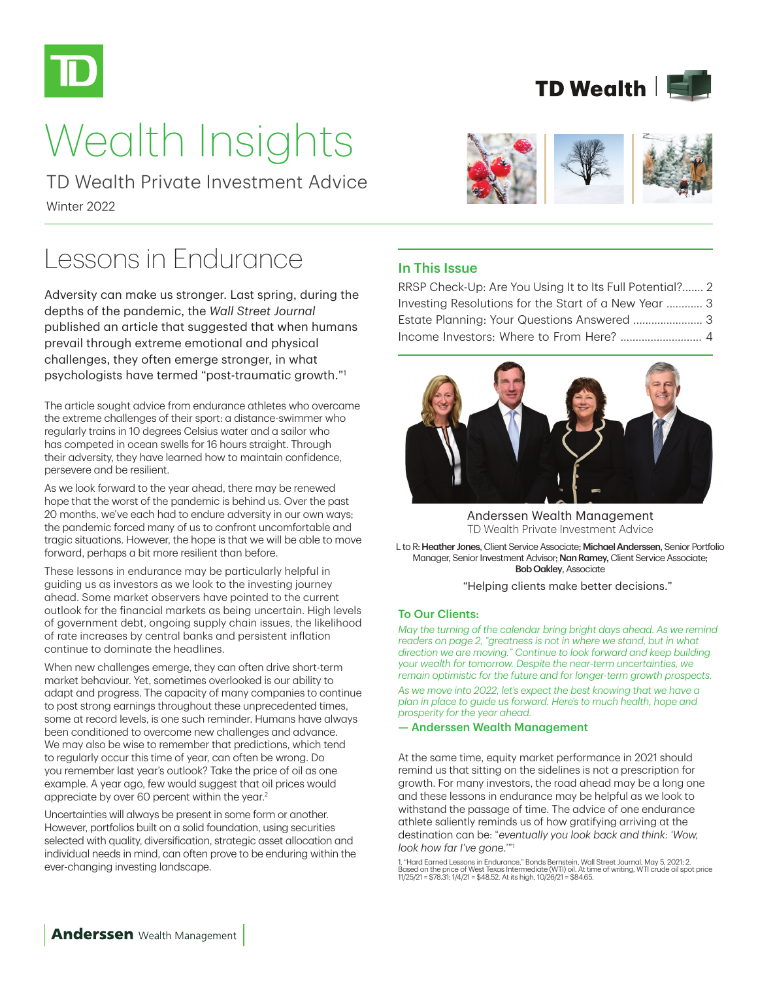



# Wealth Insights

Winter 2022 TD Wealth Private Investment Advice



Adversity can make us stronger. Last spring, during the depths of the pandemic, the *Wall Street Journal*  published an article that suggested that when humans prevail through extreme emotional and physical challenges, they often emerge stronger, in what psychologists have termed "post-traumatic growth."1

The article sought advice from endurance athletes who overcame the extreme challenges of their sport: a distance-swimmer who regularly trains in 10 degrees Celsius water and a sailor who has competed in ocean swells for 16 hours straight. Through their adversity, they have learned how to maintain confidence, persevere and be resilient.

As we look forward to the year ahead, there may be renewed hope that the worst of the pandemic is behind us. Over the past 20 months, we've each had to endure adversity in our own ways; the pandemic forced many of us to confront uncomfortable and tragic situations. However, the hope is that we will be able to move forward, perhaps a bit more resilient than before.

These lessons in endurance may be particularly helpful in guiding us as investors as we look to the investing journey ahead. Some market observers have pointed to the current outlook for the financial markets as being uncertain. High levels of government debt, ongoing supply chain issues, the likelihood of rate increases by central banks and persistent inflation continue to dominate the headlines.

When new challenges emerge, they can often drive short-term market behaviour. Yet, sometimes overlooked is our ability to adapt and progress. The capacity of many companies to continue to post strong earnings throughout these unprecedented times, some at record levels, is one such reminder. Humans have always been conditioned to overcome new challenges and advance. We may also be wise to remember that predictions, which tend to regularly occur this time of year, can often be wrong. Do you remember last year's outlook? Take the price of oil as one example. A year ago, few would suggest that oil prices would appreciate by over 60 percent within the year.2

Uncertainties will always be present in some form or another. However, portfolios built on a solid foundation, using securities selected with quality, diversification, strategic asset allocation and individual needs in mind, can often prove to be enduring within the ever-changing investing landscape.

## In This Issue

RRSP Check-Up: Are You Using It to Its Full Potential?....... 2 Investing Resolutions for the Start of a New Year ............ 3 Estate Planning: Your Questions Answered ....................... 3 Income Investors: Where to From Here? ........................... 4



Anderssen Wealth Management TD Wealth Private Investment Advice

L to R: Heather Jones, Client Service Associate; Michael Anderssen, Senior Portfolio Manager, Senior Investment Advisor; Nan Ramey, Client Service Associate; Bob Oakley, Associate

"Helping clients make better decisions."

#### To Our Clients:

*May the turning of the calendar bring bright days ahead. As we remind readers on page 2, "greatness is not in where we stand, but in what direction we are moving." Continue to look forward and keep building your wealth for tomorrow. Despite the near-term uncertainties, we remain optimistic for the future and for longer-term growth prospects. As we move into 2022, let's expect the best knowing that we have a plan in place to guide us forward. Here's to much health, hope and prosperity for the year ahead.*

#### — Anderssen Wealth Management

At the same time, equity market performance in 2021 should remind us that sitting on the sidelines is not a prescription for growth. For many investors, the road ahead may be a long one and these lessons in endurance may be helpful as we look to withstand the passage of time. The advice of one endurance athlete saliently reminds us of how gratifying arriving at the destination can be: "*eventually you look back and think: 'Wow, look how far I've gone*.'"1

1, "Hard Earned Lessons in Endurance," Bonds Bernstein, Wall Street Journal, May 5, 2021; 2.<br>Based on the price of West Texas Intermediate (WTI) oil. At time of writing, WTI crude oil spot price<br>11/25/21 = \$78.31; 1/4/21 =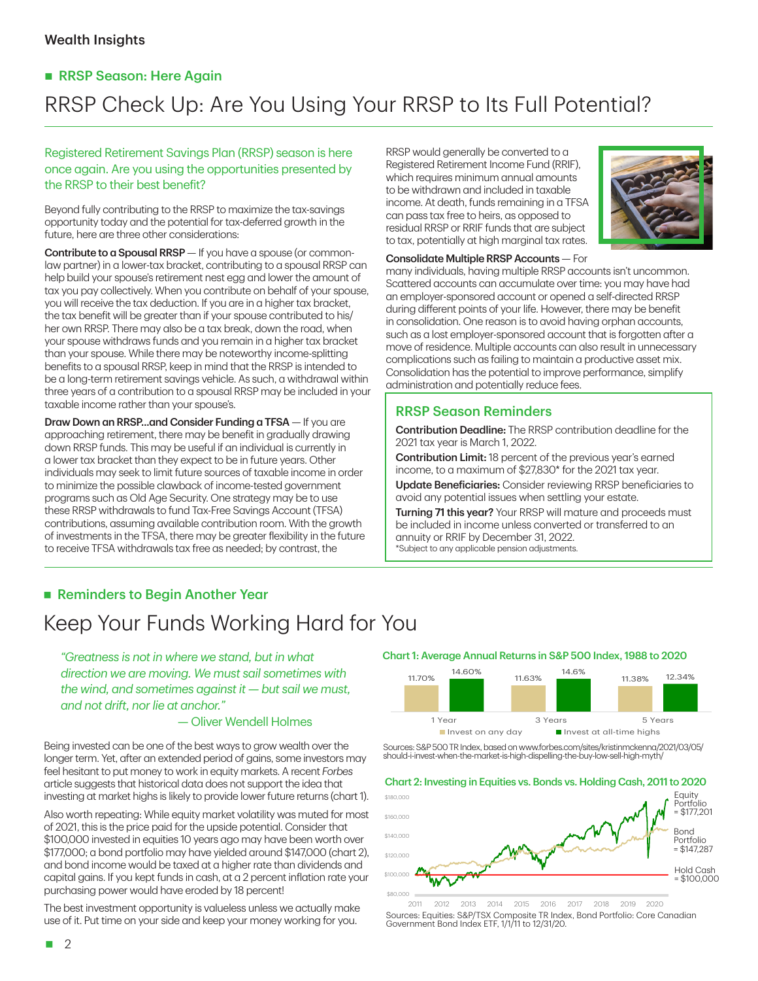# **RRSP Season: Here Again** RRSP Check Up: Are You Using Your RRSP to Its Full Potential?

# Registered Retirement Savings Plan (RRSP) season is here once again. Are you using the opportunities presented by the RRSP to their best benefit?

Beyond fully contributing to the RRSP to maximize the tax-savings opportunity today and the potential for tax-deferred growth in the future, here are three other considerations:

Contribute to a Spousal RRSP - If you have a spouse (or commonlaw partner) in a lower-tax bracket, contributing to a spousal RRSP can help build your spouse's retirement nest egg and lower the amount of tax you pay collectively. When you contribute on behalf of your spouse, you will receive the tax deduction. If you are in a higher tax bracket, the tax benefit will be greater than if your spouse contributed to his/ her own RRSP. There may also be a tax break, down the road, when your spouse withdraws funds and you remain in a higher tax bracket than your spouse. While there may be noteworthy income-splitting benefits to a spousal RRSP, keep in mind that the RRSP is intended to be a long-term retirement savings vehicle. As such, a withdrawal within three years of a contribution to a spousal RRSP may be included in your taxable income rather than your spouse's.

**Draw Down an RRSP...and Consider Funding a TFSA** — If you are approaching retirement, there may be benefit in gradually drawing down RRSP funds. This may be useful if an individual is currently in a lower tax bracket than they expect to be in future years. Other individuals may seek to limit future sources of taxable income in order to minimize the possible clawback of income-tested government programs such as Old Age Security. One strategy may be to use these RRSP withdrawals to fund Tax-Free Savings Account (TFSA) contributions, assuming available contribution room. With the growth of investments in the TFSA, there may be greater flexibility in the future to receive TFSA withdrawals tax free as needed; by contrast, the

RRSP would generally be converted to a Registered Retirement Income Fund (RRIF), which requires minimum annual amounts to be withdrawn and included in taxable income. At death, funds remaining in a TFSA can pass tax free to heirs, as opposed to residual RRSP or RRIF funds that are subject to tax, potentially at high marginal tax rates.



## Consolidate Multiple RRSP Accounts — For

many individuals, having multiple RRSP accounts isn't uncommon. Scattered accounts can accumulate over time: you may have had an employer-sponsored account or opened a self-directed RRSP during different points of your life. However, there may be benefit in consolidation. One reason is to avoid having orphan accounts, such as a lost employer-sponsored account that is forgotten after a move of residence. Multiple accounts can also result in unnecessary complications such as failing to maintain a productive asset mix. Consolidation has the potential to improve performance, simplify administration and potentially reduce fees.

# RRSP Season Reminders

Contribution Deadline: The RRSP contribution deadline for the 2021 tax year is March 1, 2022.

Contribution Limit: 18 percent of the previous year's earned income, to a maximum of \$27,830\* for the 2021 tax year.

Update Beneficiaries: Consider reviewing RRSP beneficiaries to avoid any potential issues when settling your estate.

**Turning 71 this year?** Your RRSP will mature and proceeds must be included in income unless converted or transferred to an annuity or RRIF by December 31, 2022. \*Subject to any applicable pension adjustments.

# **Reminders to Begin Another Year**

# Keep Your Funds Working Hard for You

*"Greatness is not in where we stand, but in what direction we are moving. We must sail sometimes with the wind, and sometimes against it — but sail we must, and not drift, nor lie at anchor."* 

## — Oliver Wendell Holmes

Being invested can be one of the best ways to grow wealth over the longer term. Yet, after an extended period of gains, some investors may feel hesitant to put money to work in equity markets. A recent *Forbes* article suggests that historical data does not support the idea that investing at market highs is likely to provide lower future returns (chart 1).

Also worth repeating: While equity market volatility was muted for most of 2021, this is the price paid for the upside potential. Consider that \$100,000 invested in equities 10 years ago may have been worth over \$177,000; a bond portfolio may have yielded around \$147,000 (chart 2), and bond income would be taxed at a higher rate than dividends and capital gains. If you kept funds in cash, at a 2 percent inflation rate your purchasing power would have eroded by 18 percent!

The best investment opportunity is valueless unless we actually make use of it. Put time on your side and keep your money working for you.

## Chart 1: Average Annual Returns in S&P 500 Index, 1988 to 2020



Sources: S&P 500 TR Index, based on www.forbes.com/sites/kristinmckenna/2021/03/05/ should-i-invest-when-the-market-is-high-dispelling-the-buy-low-sell-high-myth/

#### Chart 2: Investing in Equities vs. Bonds vs. Holding Cash, 2011 to 2020



2011 2012 2013 2014 2015 2016 2017 2018 2019 2020 Bources: Equines: 6dr / 16X composite TN mack, Bond Portfolio:<br>Government Bond Index ETF, 1/1/11 to 12/31/20. Sources: Equities: S&P/TSX Composite TR Index, Bond Portfolio: Core Canadian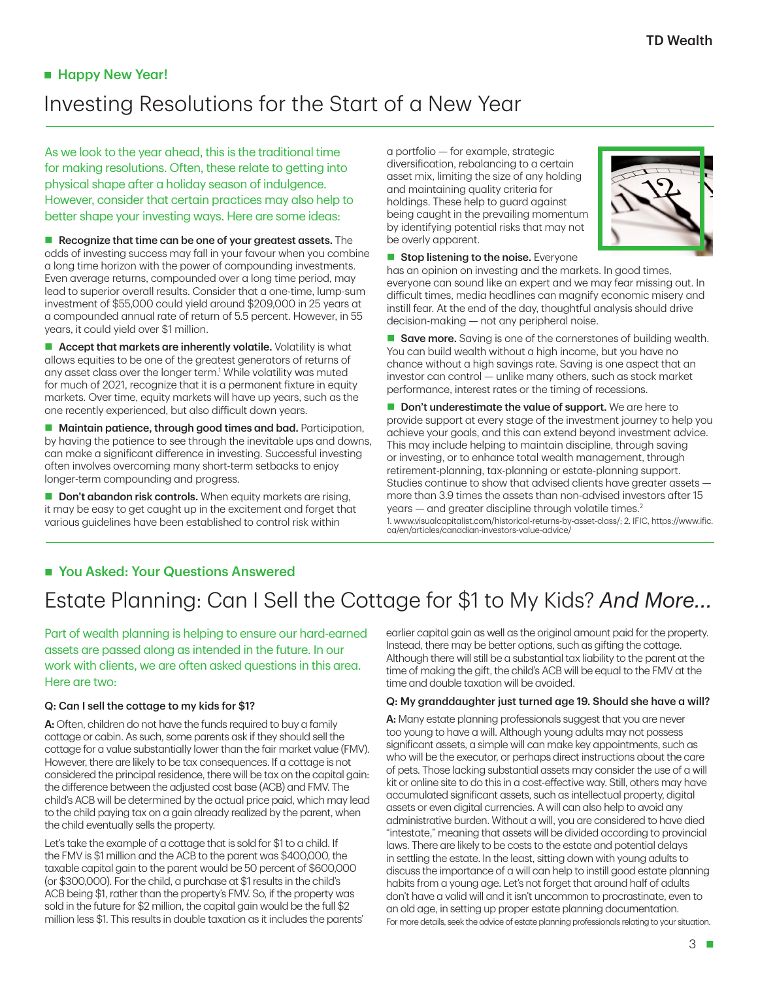# **Happy New Year!** Investing Resolutions for the Start of a New Year

As we look to the year ahead, this is the traditional time for making resolutions. Often, these relate to getting into physical shape after a holiday season of indulgence. However, consider that certain practices may also help to better shape your investing ways. Here are some ideas:

Recognize that time can be one of your greatest assets. The odds of investing success may fall in your favour when you combine a long time horizon with the power of compounding investments. Even average returns, compounded over a long time period, may lead to superior overall results. Consider that a one-time, lump-sum investment of \$55,000 could yield around \$209,000 in 25 years at a compounded annual rate of return of 5.5 percent. However, in 55 years, it could yield over \$1 million.

**Accept that markets are inherently volatile.** Volatility is what allows equities to be one of the greatest generators of returns of any asset class over the longer term.<sup>1</sup> While volatility was muted for much of 2021, recognize that it is a permanent fixture in equity markets. Over time, equity markets will have up years, such as the one recently experienced, but also difficult down years.

**Maintain patience, through good times and bad.** Participation, by having the patience to see through the inevitable ups and downs, can make a significant difference in investing. Successful investing often involves overcoming many short-term setbacks to enjoy longer-term compounding and progress.

Don't abandon risk controls. When equity markets are rising, it may be easy to get caught up in the excitement and forget that various guidelines have been established to control risk within

a portfolio — for example, strategic diversification, rebalancing to a certain asset mix, limiting the size of any holding and maintaining quality criteria for holdings. These help to guard against being caught in the prevailing momentum by identifying potential risks that may not be overly apparent.



Stop listening to the noise. Everyone

has an opinion on investing and the markets. In good times, everyone can sound like an expert and we may fear missing out. In difficult times, media headlines can magnify economic misery and instill fear. At the end of the day, thoughtful analysis should drive decision-making — not any peripheral noise.

Save more. Saving is one of the cornerstones of building wealth. You can build wealth without a high income, but you have no chance without a high savings rate. Saving is one aspect that an investor can control — unlike many others, such as stock market performance, interest rates or the timing of recessions.

Don't underestimate the value of support. We are here to provide support at every stage of the investment journey to help you achieve your goals, and this can extend beyond investment advice. This may include helping to maintain discipline, through saving or investing, or to enhance total wealth management, through retirement-planning, tax-planning or estate-planning support. Studies continue to show that advised clients have greater assets more than 3.9 times the assets than non-advised investors after 15 years – and greater discipline through volatile times.<sup>2</sup>

1. www.visualcapitalist.com/historical-returns-by-asset-class/; 2. IFIC, https://www.ific. ca/en/articles/canadian-investors-value-advice/

# **Nou Asked: Your Questions Answered**

# Estate Planning: Can I Sell the Cottage for \$1 to My Kids? *And More...*

Part of wealth planning is helping to ensure our hard-earned assets are passed along as intended in the future. In our work with clients, we are often asked questions in this area. Here are two:

## Q: Can I sell the cottage to my kids for \$1?

A: Often, children do not have the funds required to buy a family cottage or cabin. As such, some parents ask if they should sell the cottage for a value substantially lower than the fair market value (FMV). However, there are likely to be tax consequences. If a cottage is not considered the principal residence, there will be tax on the capital gain: the difference between the adjusted cost base (ACB) and FMV. The child's ACB will be determined by the actual price paid, which may lead to the child paying tax on a gain already realized by the parent, when the child eventually sells the property.

Let's take the example of a cottage that is sold for \$1 to a child. If the FMV is \$1 million and the ACB to the parent was \$400,000, the taxable capital gain to the parent would be 50 percent of \$600,000 (or \$300,000). For the child, a purchase at \$1 results in the child's ACB being \$1, rather than the property's FMV. So, if the property was sold in the future for \$2 million, the capital gain would be the full \$2 million less \$1. This results in double taxation as it includes the parents'

earlier capital gain as well as the original amount paid for the property. Instead, there may be better options, such as gifting the cottage. Although there will still be a substantial tax liability to the parent at the time of making the gift, the child's ACB will be equal to the FMV at the time and double taxation will be avoided.

## Q: My granddaughter just turned age 19. Should she have a will?

A: Many estate planning professionals suggest that you are never too young to have a will. Although young adults may not possess significant assets, a simple will can make key appointments, such as who will be the executor, or perhaps direct instructions about the care of pets. Those lacking substantial assets may consider the use of a will kit or online site to do this in a cost-effective way. Still, others may have accumulated significant assets, such as intellectual property, digital assets or even digital currencies. A will can also help to avoid any administrative burden. Without a will, you are considered to have died "intestate," meaning that assets will be divided according to provincial laws. There are likely to be costs to the estate and potential delays in settling the estate. In the least, sitting down with young adults to discuss the importance of a will can help to instill good estate planning habits from a young age. Let's not forget that around half of adults don't have a valid will and it isn't uncommon to procrastinate, even to an old age, in setting up proper estate planning documentation. For more details, seek the advice of estate planning professionals relating to your situation.